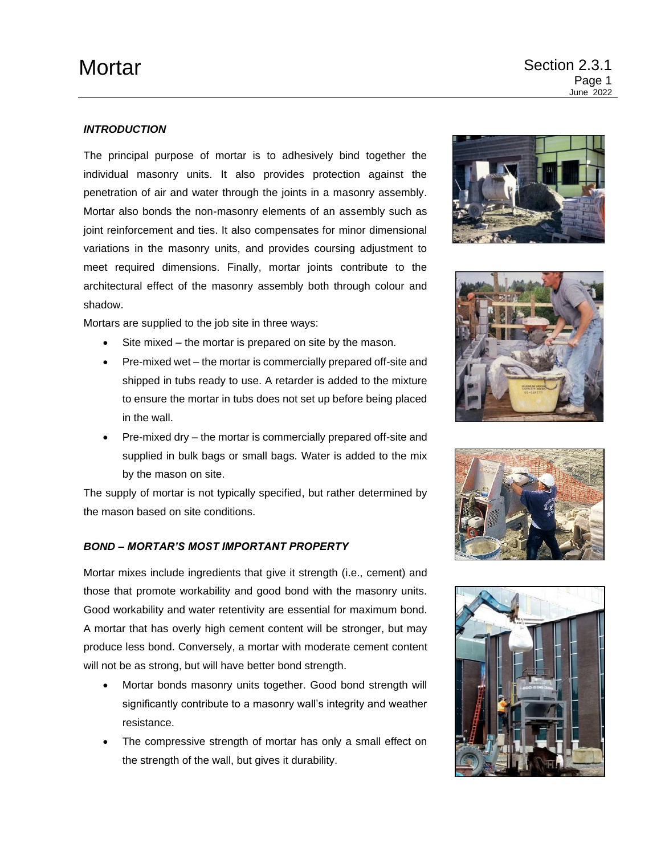# *INTRODUCTION*

The principal purpose of mortar is to adhesively bind together the individual masonry units. It also provides protection against the penetration of air and water through the joints in a masonry assembly. Mortar also bonds the non-masonry elements of an assembly such as joint reinforcement and ties. It also compensates for minor dimensional variations in the masonry units, and provides coursing adjustment to meet required dimensions. Finally, mortar joints contribute to the architectural effect of the masonry assembly both through colour and shadow.

Mortars are supplied to the job site in three ways:

- Site mixed the mortar is prepared on site by the mason.
- Pre-mixed wet the mortar is commercially prepared off-site and shipped in tubs ready to use. A retarder is added to the mixture to ensure the mortar in tubs does not set up before being placed in the wall.
- Pre-mixed dry the mortar is commercially prepared off-site and supplied in bulk bags or small bags. Water is added to the mix by the mason on site.

The supply of mortar is not typically specified, but rather determined by the mason based on site conditions.

# *BOND – MORTAR'S MOST IMPORTANT PROPERTY*

Mortar mixes include ingredients that give it strength (i.e., cement) and those that promote workability and good bond with the masonry units. Good workability and water retentivity are essential for maximum bond. A mortar that has overly high cement content will be stronger, but may produce less bond. Conversely, a mortar with moderate cement content will not be as strong, but will have better bond strength.

- Mortar bonds masonry units together. Good bond strength will significantly contribute to a masonry wall's integrity and weather resistance.
- The compressive strength of mortar has only a small effect on the strength of the wall, but gives it durability.







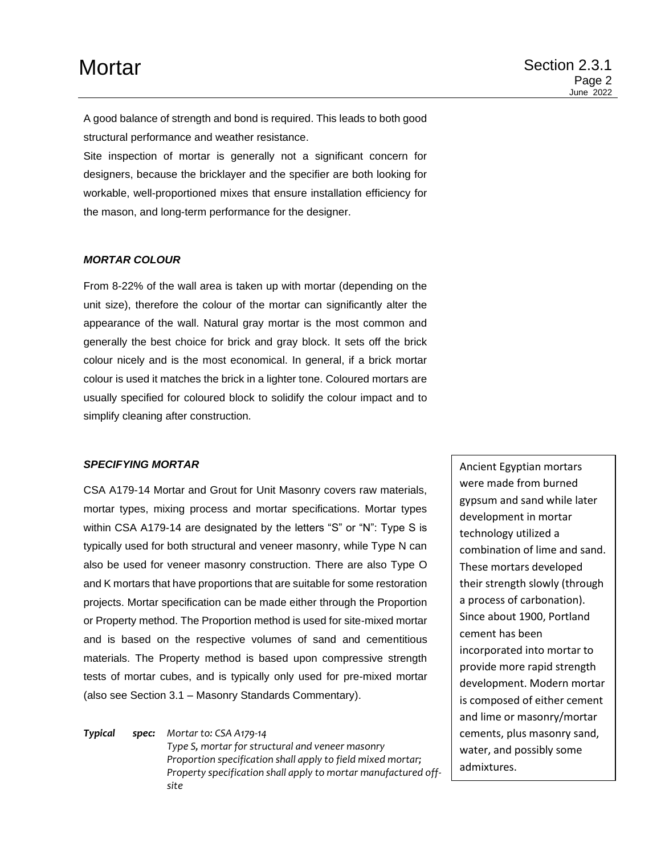A good balance of strength and bond is required. This leads to both good structural performance and weather resistance.

Site inspection of mortar is generally not a significant concern for designers, because the bricklayer and the specifier are both looking for workable, well-proportioned mixes that ensure installation efficiency for the mason, and long-term performance for the designer.

### *MORTAR COLOUR*

From 8-22% of the wall area is taken up with mortar (depending on the unit size), therefore the colour of the mortar can significantly alter the appearance of the wall. Natural gray mortar is the most common and generally the best choice for brick and gray block. It sets off the brick colour nicely and is the most economical. In general, if a brick mortar colour is used it matches the brick in a lighter tone. Coloured mortars are usually specified for coloured block to solidify the colour impact and to simplify cleaning after construction.

## *SPECIFYING MORTAR*

CSA A179-14 Mortar and Grout for Unit Masonry covers raw materials, mortar types, mixing process and mortar specifications. Mortar types within CSA A179-14 are designated by the letters "S" or "N": Type S is typically used for both structural and veneer masonry, while Type N can also be used for veneer masonry construction. There are also Type O and K mortars that have proportions that are suitable for some restoration projects. Mortar specification can be made either through the Proportion or Property method. The Proportion method is used for site-mixed mortar and is based on the respective volumes of sand and cementitious materials. The Property method is based upon compressive strength tests of mortar cubes, and is typically only used for pre-mixed mortar (also see Section 3.1 – Masonry Standards Commentary).

*Typical spec: Mortar to: CSA A179-14 Type S, mortar for structural and veneer masonry Proportion specification shall apply to field mixed mortar; Property specification shall apply to mortar manufactured offsite*

Ancient Egyptian mortars were made from burned gypsum and sand while later development in mortar technology utilized a combination of lime and sand. These mortars developed their strength slowly (through a process of carbonation). Since about 1900, Portland cement has been incorporated into mortar to provide more rapid strength development. Modern mortar is composed of either cement and lime or masonry/mortar cements, plus masonry sand, water, and possibly some admixtures.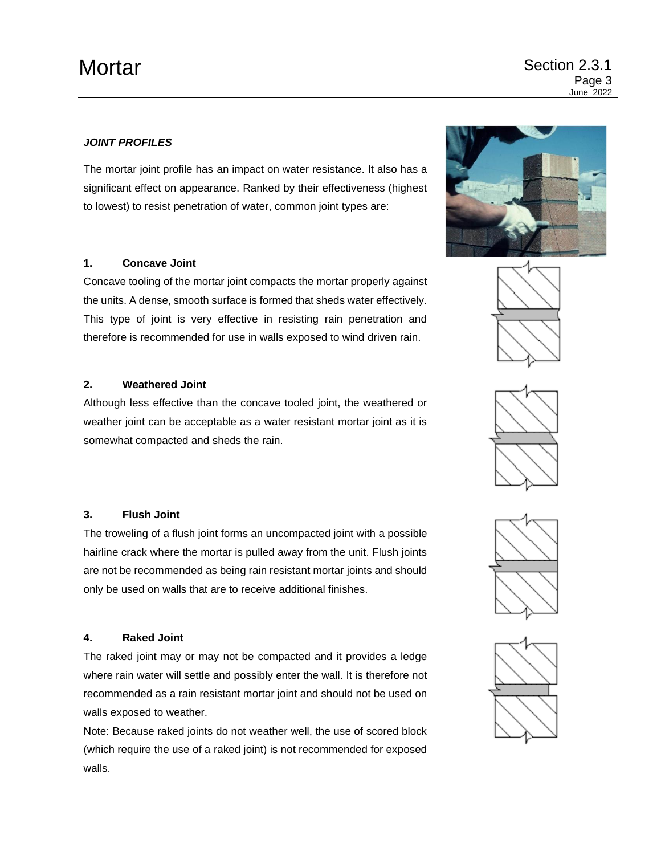# *JOINT PROFILES*

The mortar joint profile has an impact on water resistance. It also has a significant effect on appearance. Ranked by their effectiveness (highest to lowest) to resist penetration of water, common joint types are:

# **1. Concave Joint**

Concave tooling of the mortar joint compacts the mortar properly against the units. A dense, smooth surface is formed that sheds water effectively. This type of joint is very effective in resisting rain penetration and therefore is recommended for use in walls exposed to wind driven rain.

## **2. Weathered Joint**

Although less effective than the concave tooled joint, the weathered or weather joint can be acceptable as a water resistant mortar joint as it is somewhat compacted and sheds the rain.

## **3. Flush Joint**

The troweling of a flush joint forms an uncompacted joint with a possible hairline crack where the mortar is pulled away from the unit. Flush joints are not be recommended as being rain resistant mortar joints and should only be used on walls that are to receive additional finishes.

## **4. Raked Joint**

The raked joint may or may not be compacted and it provides a ledge where rain water will settle and possibly enter the wall. It is therefore not recommended as a rain resistant mortar joint and should not be used on walls exposed to weather.

Note: Because raked joints do not weather well, the use of scored block (which require the use of a raked joint) is not recommended for exposed walls.